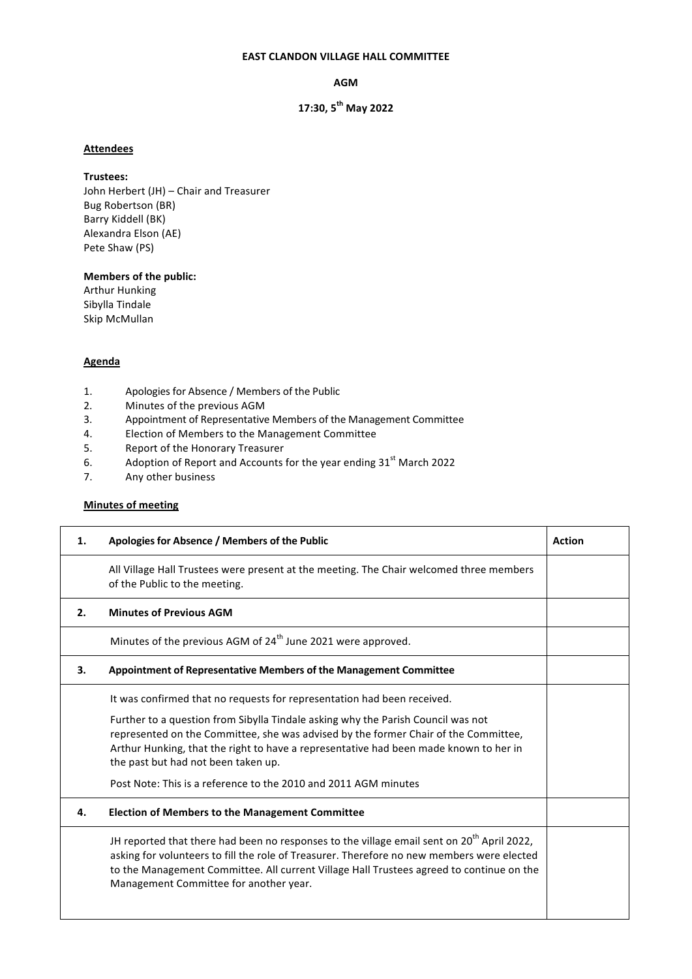#### **EAST CLANDON VILLAGE HALL COMMITTEE**

**AGM** 

# **17:30, 5th May 2022**

### **Attendees**

#### **Trustees:**

John Herbert (JH) – Chair and Treasurer Bug Robertson (BR) Barry Kiddell (BK) Alexandra Elson (AE) Pete Shaw (PS)

## **Members of the public:**

**Arthur Hunking** Sibylla Tindale Skip McMullan

## **Agenda**

- 1. Apologies for Absence / Members of the Public
- 2. Minutes of the previous AGM
- 3. Appointment of Representative Members of the Management Committee
- 4. Election of Members to the Management Committee
- 5. Report of the Honorary Treasurer
- 6. Adoption of Report and Accounts for the year ending  $31<sup>st</sup>$  March 2022
- 7. Any other business

## **Minutes of meeting**

| 1. | Apologies for Absence / Members of the Public                                                                                                                                                                                                                                                                                                                                                                                                         | <b>Action</b> |
|----|-------------------------------------------------------------------------------------------------------------------------------------------------------------------------------------------------------------------------------------------------------------------------------------------------------------------------------------------------------------------------------------------------------------------------------------------------------|---------------|
|    | All Village Hall Trustees were present at the meeting. The Chair welcomed three members<br>of the Public to the meeting.                                                                                                                                                                                                                                                                                                                              |               |
| 2. | <b>Minutes of Previous AGM</b>                                                                                                                                                                                                                                                                                                                                                                                                                        |               |
|    | Minutes of the previous AGM of 24 <sup>th</sup> June 2021 were approved.                                                                                                                                                                                                                                                                                                                                                                              |               |
| З. | <b>Appointment of Representative Members of the Management Committee</b>                                                                                                                                                                                                                                                                                                                                                                              |               |
|    | It was confirmed that no requests for representation had been received.<br>Further to a question from Sibylla Tindale asking why the Parish Council was not<br>represented on the Committee, she was advised by the former Chair of the Committee,<br>Arthur Hunking, that the right to have a representative had been made known to her in<br>the past but had not been taken up.<br>Post Note: This is a reference to the 2010 and 2011 AGM minutes |               |
| 4. | <b>Election of Members to the Management Committee</b>                                                                                                                                                                                                                                                                                                                                                                                                |               |
|    | JH reported that there had been no responses to the village email sent on 20 <sup>th</sup> April 2022,<br>asking for volunteers to fill the role of Treasurer. Therefore no new members were elected<br>to the Management Committee. All current Village Hall Trustees agreed to continue on the<br>Management Committee for another year.                                                                                                            |               |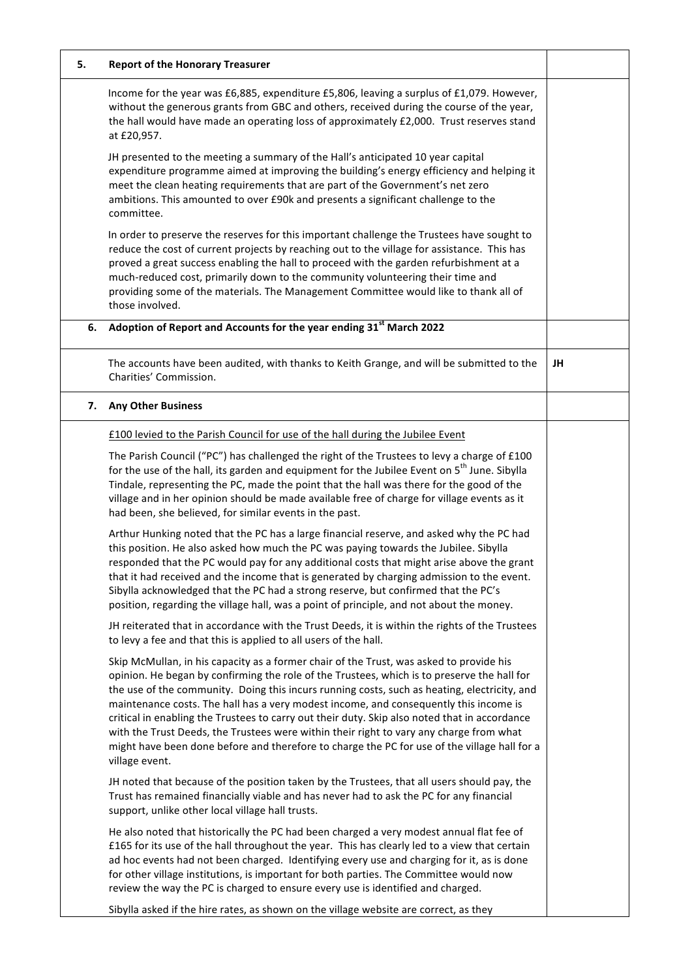| 5. | <b>Report of the Honorary Treasurer</b>                                                                                                                                                                                                                                                                                                                                                                                                                                                                                                                                                                                                                                                       |    |
|----|-----------------------------------------------------------------------------------------------------------------------------------------------------------------------------------------------------------------------------------------------------------------------------------------------------------------------------------------------------------------------------------------------------------------------------------------------------------------------------------------------------------------------------------------------------------------------------------------------------------------------------------------------------------------------------------------------|----|
|    | Income for the year was £6,885, expenditure £5,806, leaving a surplus of £1,079. However,<br>without the generous grants from GBC and others, received during the course of the year,<br>the hall would have made an operating loss of approximately £2,000. Trust reserves stand<br>at £20,957.                                                                                                                                                                                                                                                                                                                                                                                              |    |
|    | JH presented to the meeting a summary of the Hall's anticipated 10 year capital<br>expenditure programme aimed at improving the building's energy efficiency and helping it<br>meet the clean heating requirements that are part of the Government's net zero<br>ambitions. This amounted to over £90k and presents a significant challenge to the<br>committee.                                                                                                                                                                                                                                                                                                                              |    |
|    | In order to preserve the reserves for this important challenge the Trustees have sought to<br>reduce the cost of current projects by reaching out to the village for assistance. This has<br>proved a great success enabling the hall to proceed with the garden refurbishment at a<br>much-reduced cost, primarily down to the community volunteering their time and<br>providing some of the materials. The Management Committee would like to thank all of<br>those involved.                                                                                                                                                                                                              |    |
| 6. | Adoption of Report and Accounts for the year ending 31 <sup>st</sup> March 2022                                                                                                                                                                                                                                                                                                                                                                                                                                                                                                                                                                                                               |    |
|    | The accounts have been audited, with thanks to Keith Grange, and will be submitted to the<br>Charities' Commission.                                                                                                                                                                                                                                                                                                                                                                                                                                                                                                                                                                           | JH |
| 7. | <b>Any Other Business</b>                                                                                                                                                                                                                                                                                                                                                                                                                                                                                                                                                                                                                                                                     |    |
|    | £100 levied to the Parish Council for use of the hall during the Jubilee Event                                                                                                                                                                                                                                                                                                                                                                                                                                                                                                                                                                                                                |    |
|    | The Parish Council ("PC") has challenged the right of the Trustees to levy a charge of £100<br>for the use of the hall, its garden and equipment for the Jubilee Event on 5 <sup>th</sup> June. Sibylla<br>Tindale, representing the PC, made the point that the hall was there for the good of the<br>village and in her opinion should be made available free of charge for village events as it<br>had been, she believed, for similar events in the past.                                                                                                                                                                                                                                 |    |
|    | Arthur Hunking noted that the PC has a large financial reserve, and asked why the PC had<br>this position. He also asked how much the PC was paying towards the Jubilee. Sibylla<br>responded that the PC would pay for any additional costs that might arise above the grant<br>that it had received and the income that is generated by charging admission to the event.<br>Sibylla acknowledged that the PC had a strong reserve, but confirmed that the PC's<br>position, regarding the village hall, was a point of principle, and not about the money.                                                                                                                                  |    |
|    | JH reiterated that in accordance with the Trust Deeds, it is within the rights of the Trustees<br>to levy a fee and that this is applied to all users of the hall.                                                                                                                                                                                                                                                                                                                                                                                                                                                                                                                            |    |
|    | Skip McMullan, in his capacity as a former chair of the Trust, was asked to provide his<br>opinion. He began by confirming the role of the Trustees, which is to preserve the hall for<br>the use of the community. Doing this incurs running costs, such as heating, electricity, and<br>maintenance costs. The hall has a very modest income, and consequently this income is<br>critical in enabling the Trustees to carry out their duty. Skip also noted that in accordance<br>with the Trust Deeds, the Trustees were within their right to vary any charge from what<br>might have been done before and therefore to charge the PC for use of the village hall for a<br>village event. |    |
|    | JH noted that because of the position taken by the Trustees, that all users should pay, the<br>Trust has remained financially viable and has never had to ask the PC for any financial<br>support, unlike other local village hall trusts.                                                                                                                                                                                                                                                                                                                                                                                                                                                    |    |
|    | He also noted that historically the PC had been charged a very modest annual flat fee of<br>£165 for its use of the hall throughout the year. This has clearly led to a view that certain<br>ad hoc events had not been charged. Identifying every use and charging for it, as is done<br>for other village institutions, is important for both parties. The Committee would now<br>review the way the PC is charged to ensure every use is identified and charged.                                                                                                                                                                                                                           |    |
|    | Sibylla asked if the hire rates, as shown on the village website are correct, as they                                                                                                                                                                                                                                                                                                                                                                                                                                                                                                                                                                                                         |    |